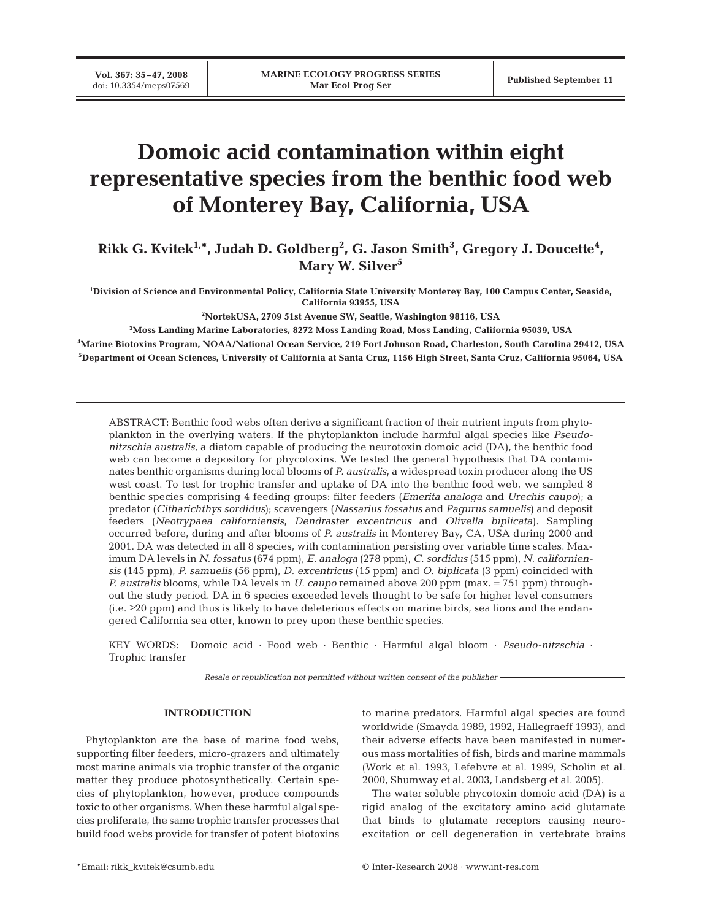# **Domoic acid contamination within eight representative species from the benthic food web of Monterey Bay, California, USA**

Rikk G. Kvitek<sup>1,</sup>\*, Judah D. Goldberg<sup>2</sup>, G. Jason Smith<sup>3</sup>, Gregory J. Doucette<sup>4</sup>, Mary W. Silver<sup>5</sup>

**1 Division of Science and Environmental Policy, California State University Monterey Bay, 100 Campus Center, Seaside, California 93955, USA**

**2 NortekUSA, 2709 51st Avenue SW, Seattle, Washington 98116, USA**

**3 Moss Landing Marine Laboratories, 8272 Moss Landing Road, Moss Landing, California 95039, USA**

**4 Marine Biotoxins Program, NOAA/National Ocean Service, 219 Fort Johnson Road, Charleston, South Carolina 29412, USA 5 Department of Ocean Sciences, University of California at Santa Cruz, 1156 High Street, Santa Cruz, California 95064, USA**

ABSTRACT: Benthic food webs often derive a significant fraction of their nutrient inputs from phytoplankton in the overlying waters. If the phytoplankton include harmful algal species like *Pseudonitzschia australis*, a diatom capable of producing the neurotoxin domoic acid (DA), the benthic food web can become a depository for phycotoxins. We tested the general hypothesis that DA contaminates benthic organisms during local blooms of *P. australis*, a widespread toxin producer along the US west coast. To test for trophic transfer and uptake of DA into the benthic food web, we sampled 8 benthic species comprising 4 feeding groups: filter feeders (*Emerita analoga* and *Urechis caupo*); a predator (*Citharichthys sordidus*); scavengers (*Nassarius fossatus* and *Pagurus samuelis*) and deposit feeders (*Neotrypaea californiensis*, *Dendraster excentricus* and *Olivella biplicata*). Sampling occurred before, during and after blooms of *P. australis* in Monterey Bay, CA, USA during 2000 and 2001. DA was detected in all 8 species, with contamination persisting over variable time scales. Maximum DA levels in *N. fossatus* (674 ppm), *E. analoga* (278 ppm), *C. sordidus* (515 ppm), *N. californiensis* (145 ppm), *P. samuelis* (56 ppm), *D. excentricus* (15 ppm) and *O. biplicata* (3 ppm) coincided with *P. australis* blooms, while DA levels in *U. caupo* remained above 200 ppm (max. = 751 ppm) throughout the study period. DA in 6 species exceeded levels thought to be safe for higher level consumers (i.e. ≥20 ppm) and thus is likely to have deleterious effects on marine birds, sea lions and the endangered California sea otter, known to prey upon these benthic species.

KEY WORDS: Domoic acid · Food web · Benthic · Harmful algal bloom · *Pseudo-nitzschia* · Trophic transfer

*Resale or republication not permitted without written consent of the publisher*

# **INTRODUCTION**

Phytoplankton are the base of marine food webs, supporting filter feeders, micro-grazers and ultimately most marine animals via trophic transfer of the organic matter they produce photosynthetically. Certain species of phytoplankton, however, produce compounds toxic to other organisms. When these harmful algal species proliferate, the same trophic transfer processes that build food webs provide for transfer of potent biotoxins

to marine predators. Harmful algal species are found worldwide (Smayda 1989, 1992, Hallegraeff 1993), and their adverse effects have been manifested in numerous mass mortalities of fish, birds and marine mammals (Work et al. 1993, Lefebvre et al. 1999, Scholin et al. 2000, Shumway et al. 2003, Landsberg et al. 2005).

The water soluble phycotoxin domoic acid (DA) is a rigid analog of the excitatory amino acid glutamate that binds to glutamate receptors causing neuroexcitation or cell degeneration in vertebrate brains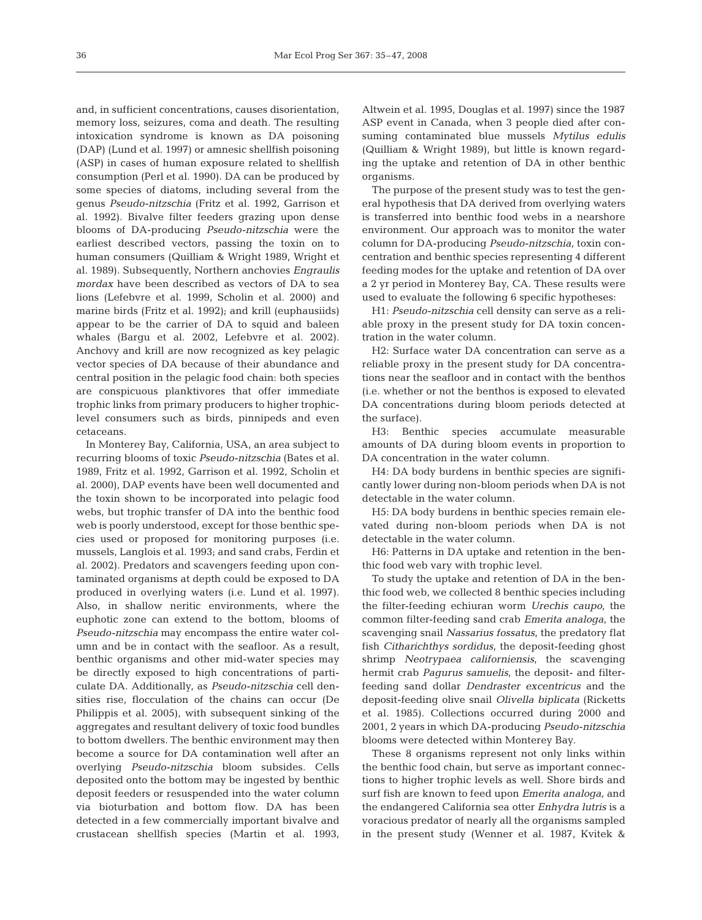and, in sufficient concentrations, causes disorientation, memory loss, seizures, coma and death. The resulting intoxication syndrome is known as DA poisoning (DAP) (Lund et al. 1997) or amnesic shellfish poisoning (ASP) in cases of human exposure related to shellfish consumption (Perl et al. 1990). DA can be produced by some species of diatoms, including several from the genus *Pseudo-nitzschia* (Fritz et al. 1992, Garrison et al. 1992). Bivalve filter feeders grazing upon dense blooms of DA-producing *Pseudo-nitzschia* were the earliest described vectors, passing the toxin on to human consumers (Quilliam & Wright 1989, Wright et al. 1989). Subsequently, Northern anchovies *Engraulis mordax* have been described as vectors of DA to sea lions (Lefebvre et al. 1999, Scholin et al. 2000) and marine birds (Fritz et al. 1992); and krill (euphausiids) appear to be the carrier of DA to squid and baleen whales (Bargu et al. 2002, Lefebvre et al. 2002). Anchovy and krill are now recognized as key pelagic vector species of DA because of their abundance and central position in the pelagic food chain: both species are conspicuous planktivores that offer immediate trophic links from primary producers to higher trophiclevel consumers such as birds, pinnipeds and even cetaceans.

In Monterey Bay, California, USA, an area subject to recurring blooms of toxic *Pseudo-nitzschia* (Bates et al. 1989, Fritz et al. 1992, Garrison et al. 1992, Scholin et al. 2000), DAP events have been well documented and the toxin shown to be incorporated into pelagic food webs, but trophic transfer of DA into the benthic food web is poorly understood, except for those benthic species used or proposed for monitoring purposes (i.e. mussels, Langlois et al. 1993; and sand crabs, Ferdin et al. 2002). Predators and scavengers feeding upon contaminated organisms at depth could be exposed to DA produced in overlying waters (i.e. Lund et al. 1997). Also, in shallow neritic environments, where the euphotic zone can extend to the bottom, blooms of *Pseudo-nitzschia* may encompass the entire water column and be in contact with the seafloor. As a result, benthic organisms and other mid-water species may be directly exposed to high concentrations of particulate DA. Additionally, as *Pseudo-nitzschia* cell densities rise, flocculation of the chains can occur (De Philippis et al. 2005), with subsequent sinking of the aggregates and resultant delivery of toxic food bundles to bottom dwellers. The benthic environment may then become a source for DA contamination well after an overlying *Pseudo-nitzschia* bloom subsides. Cells deposited onto the bottom may be ingested by benthic deposit feeders or resuspended into the water column via bioturbation and bottom flow. DA has been detected in a few commercially important bivalve and crustacean shellfish species (Martin et al. 1993,

Altwein et al. 1995, Douglas et al. 1997) since the 1987 ASP event in Canada, when 3 people died after consuming contaminated blue mussels *Mytilus edulis* (Quilliam & Wright 1989), but little is known regarding the uptake and retention of DA in other benthic organisms.

The purpose of the present study was to test the general hypothesis that DA derived from overlying waters is transferred into benthic food webs in a nearshore environment. Our approach was to monitor the water column for DA-producing *Pseudo-nitzschia,* toxin concentration and benthic species representing 4 different feeding modes for the uptake and retention of DA over a 2 yr period in Monterey Bay, CA. These results were used to evaluate the following 6 specific hypotheses:

H1: *Pseudo-nitzschia* cell density can serve as a reliable proxy in the present study for DA toxin concentration in the water column.

H2: Surface water DA concentration can serve as a reliable proxy in the present study for DA concentrations near the seafloor and in contact with the benthos (i.e. whether or not the benthos is exposed to elevated DA concentrations during bloom periods detected at the surface).

H3: Benthic species accumulate measurable amounts of DA during bloom events in proportion to DA concentration in the water column.

H4: DA body burdens in benthic species are significantly lower during non-bloom periods when DA is not detectable in the water column.

H5: DA body burdens in benthic species remain elevated during non-bloom periods when DA is not detectable in the water column.

H6: Patterns in DA uptake and retention in the benthic food web vary with trophic level.

To study the uptake and retention of DA in the benthic food web, we collected 8 benthic species including the filter-feeding echiuran worm *Urechis caupo*, the common filter-feeding sand crab *Emerita analoga*, the scavenging snail *Nassarius fossatus*, the predatory flat fish *Citharichthys sordidus*, the deposit-feeding ghost shrimp *Neotrypaea californiensis*, the scavenging hermit crab *Pagurus samuelis*, the deposit- and filterfeeding sand dollar *Dendraster excentricus* and the deposit-feeding olive snail *Olivella biplicata* (Ricketts et al. 1985). Collections occurred during 2000 and 2001, 2 years in which DA-producing *Pseudo-nitzschia* blooms were detected within Monterey Bay.

These 8 organisms represent not only links within the benthic food chain, but serve as important connections to higher trophic levels as well. Shore birds and surf fish are known to feed upon *Emerita analoga,* and the endangered California sea otter *Enhydra lutris* is a voracious predator of nearly all the organisms sampled in the present study (Wenner et al. 1987, Kvitek &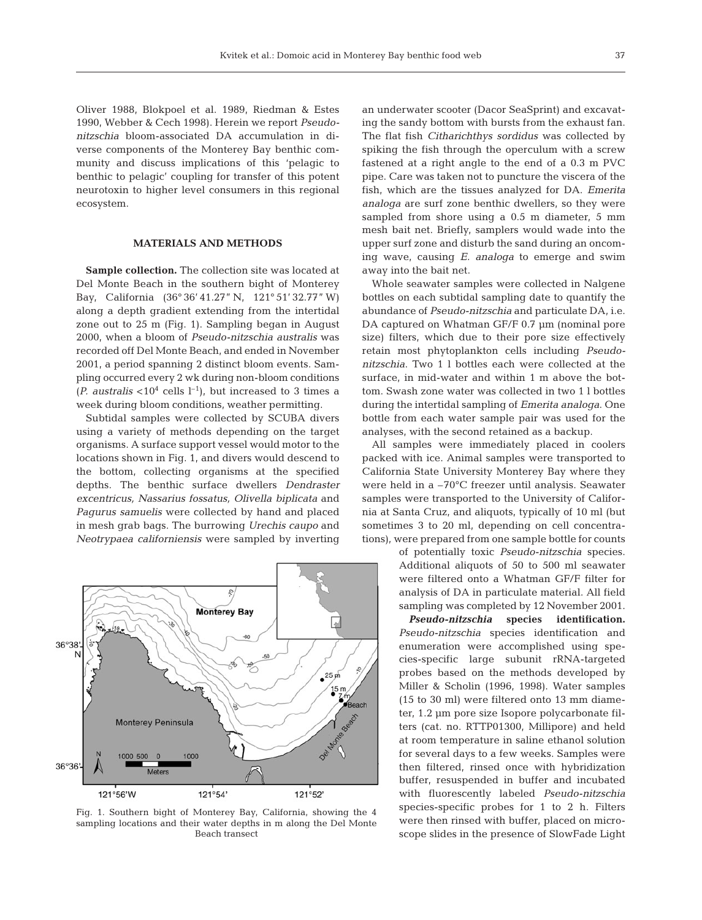Oliver 1988, Blokpoel et al. 1989, Riedman & Estes 1990, Webber & Cech 1998). Herein we report *Pseudonitzschia* bloom-associated DA accumulation in diverse components of the Monterey Bay benthic community and discuss implications of this 'pelagic to benthic to pelagic' coupling for transfer of this potent neurotoxin to higher level consumers in this regional ecosystem.

# **MATERIALS AND METHODS**

**Sample collection.** The collection site was located at Del Monte Beach in the southern bight of Monterey Bay, California (36° 36' 41.27" N, 121° 51' 32.77" W) along a depth gradient extending from the intertidal zone out to 25 m (Fig. 1). Sampling began in August 2000, when a bloom of *Pseudo-nitzschia australis* was recorded off Del Monte Beach, and ended in November 2001, a period spanning 2 distinct bloom events. Sampling occurred every 2 wk during non-bloom conditions (*P. australis* <10<sup>4</sup> cells  $l^{-1}$ ), but increased to 3 times a week during bloom conditions, weather permitting.

Subtidal samples were collected by SCUBA divers using a variety of methods depending on the target organisms. A surface support vessel would motor to the locations shown in Fig. 1, and divers would descend to the bottom, collecting organisms at the specified depths. The benthic surface dwellers *Dendraster excentricus, Nassarius fossatus, Olivella biplicata* and *Pagurus samuelis* were collected by hand and placed in mesh grab bags. The burrowing *Urechis caupo* and *Neotrypaea californiensis* were sampled by inverting



Fig. 1. Southern bight of Monterey Bay, California, showing the 4 sampling locations and their water depths in m along the Del Monte Beach transect

an underwater scooter (Dacor SeaSprint) and excavating the sandy bottom with bursts from the exhaust fan. The flat fish *Citharichthys sordidus* was collected by spiking the fish through the operculum with a screw fastened at a right angle to the end of a 0.3 m PVC pipe. Care was taken not to puncture the viscera of the fish, which are the tissues analyzed for DA. *Emerita analoga* are surf zone benthic dwellers, so they were sampled from shore using a 0.5 m diameter, 5 mm mesh bait net. Briefly, samplers would wade into the upper surf zone and disturb the sand during an oncoming wave, causing *E. analoga* to emerge and swim away into the bait net.

Whole seawater samples were collected in Nalgene bottles on each subtidal sampling date to quantify the abundance of *Pseudo-nitzschia* and particulate DA, i.e. DA captured on Whatman GF/F 0.7 µm (nominal pore size) filters, which due to their pore size effectively retain most phytoplankton cells including *Pseudonitzschia*. Two 1 l bottles each were collected at the surface, in mid-water and within 1 m above the bottom. Swash zone water was collected in two 1 l bottles during the intertidal sampling of *Emerita analoga*. One bottle from each water sample pair was used for the analyses, with the second retained as a backup.

All samples were immediately placed in coolers packed with ice. Animal samples were transported to California State University Monterey Bay where they were held in a –70°C freezer until analysis. Seawater samples were transported to the University of California at Santa Cruz, and aliquots, typically of 10 ml (but sometimes 3 to 20 ml, depending on cell concentrations), were prepared from one sample bottle for counts

> of potentially toxic *Pseudo-nitzschia* species. Additional aliquots of 50 to 500 ml seawater were filtered onto a Whatman GF/F filter for analysis of DA in particulate material. All field sampling was completed by 12 November 2001.

*Pseudo-nitzschia* **species identification.** *Pseudo-nitzschia* species identification and enumeration were accomplished using species-specific large subunit rRNA-targeted probes based on the methods developed by Miller & Scholin (1996, 1998). Water samples (15 to 30 ml) were filtered onto 13 mm diameter, 1.2 µm pore size Isopore polycarbonate filters (cat. no. RTTP01300, Millipore) and held at room temperature in saline ethanol solution for several days to a few weeks. Samples were then filtered, rinsed once with hybridization buffer, resuspended in buffer and incubated with fluorescently labeled *Pseudo-nitzschia* species-specific probes for 1 to 2 h. Filters were then rinsed with buffer, placed on microscope slides in the presence of SlowFade Light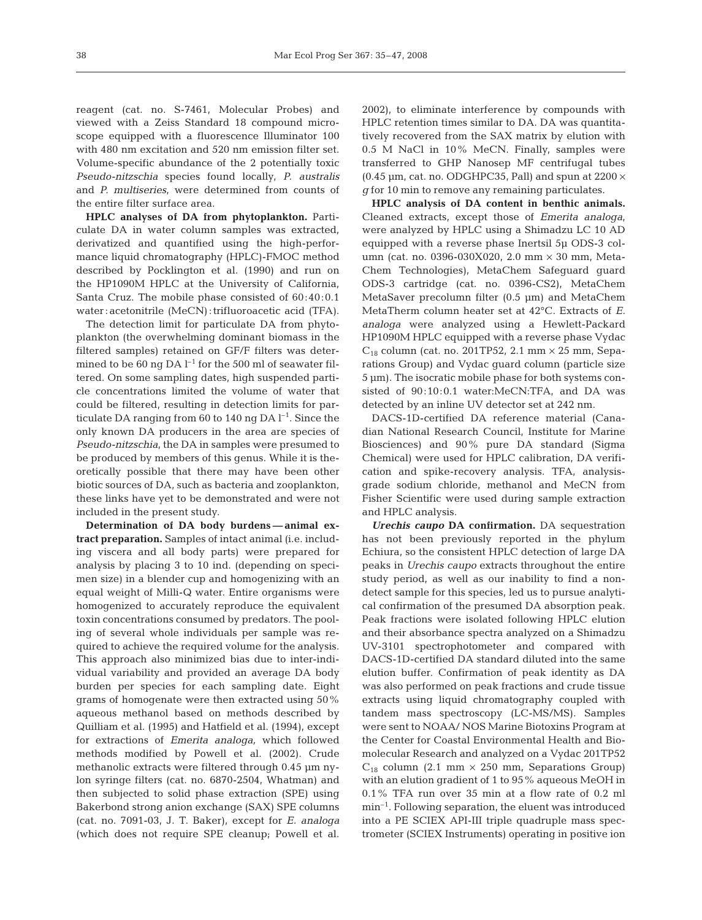reagent (cat. no. S-7461, Molecular Probes) and viewed with a Zeiss Standard 18 compound microscope equipped with a fluorescence Illuminator 100 with 480 nm excitation and 520 nm emission filter set. Volume-specific abundance of the 2 potentially toxic *Pseudo-nitzschia* species found locally, *P. australis* and *P. multiseries*, were determined from counts of the entire filter surface area.

**HPLC analyses of DA from phytoplankton.** Particulate DA in water column samples was extracted, derivatized and quantified using the high-performance liquid chromatography (HPLC)-FMOC method described by Pocklington et al. (1990) and run on the HP1090M HPLC at the University of California, Santa Cruz. The mobile phase consisted of 60:40:0.1 water : acetonitrile (MeCN) : trifluoroacetic acid (TFA).

The detection limit for particulate DA from phytoplankton (the overwhelming dominant biomass in the filtered samples) retained on GF/F filters was determined to be 60 ng DA  $l^{-1}$  for the 500 ml of seawater filtered. On some sampling dates, high suspended particle concentrations limited the volume of water that could be filtered, resulting in detection limits for particulate DA ranging from 60 to 140 ng DA  $l^{-1}$ . Since the only known DA producers in the area are species of *Pseudo-nitzschia*, the DA in samples were presumed to be produced by members of this genus. While it is theoretically possible that there may have been other biotic sources of DA, such as bacteria and zooplankton, these links have yet to be demonstrated and were not included in the present study.

**Determination of DA body burdens — animal extract preparation.** Samples of intact animal (i.e. including viscera and all body parts) were prepared for analysis by placing 3 to 10 ind. (depending on specimen size) in a blender cup and homogenizing with an equal weight of Milli-Q water. Entire organisms were homogenized to accurately reproduce the equivalent toxin concentrations consumed by predators. The pooling of several whole individuals per sample was required to achieve the required volume for the analysis. This approach also minimized bias due to inter-individual variability and provided an average DA body burden per species for each sampling date. Eight grams of homogenate were then extracted using 50% aqueous methanol based on methods described by Quilliam et al. (1995) and Hatfield et al. (1994), except for extractions of *Emerita analoga,* which followed methods modified by Powell et al. (2002). Crude methanolic extracts were filtered through 0.45 µm nylon syringe filters (cat. no. 6870-2504, Whatman) and then subjected to solid phase extraction (SPE) using Bakerbond strong anion exchange (SAX) SPE columns (cat. no. 7091-03, J. T. Baker), except for *E. analoga* (which does not require SPE cleanup; Powell et al.

2002), to eliminate interference by compounds with HPLC retention times similar to DA. DA was quantitatively recovered from the SAX matrix by elution with 0.5 M NaCl in 10% MeCN. Finally, samples were transferred to GHP Nanosep MF centrifugal tubes (0.45  $\mu$ m, cat. no. ODGHPC35, Pall) and spun at 2200  $\times$ *g* for 10 min to remove any remaining particulates.

**HPLC analysis of DA content in benthic animals.** Cleaned extracts, except those of *Emerita analoga*, were analyzed by HPLC using a Shimadzu LC 10 AD equipped with a reverse phase Inertsil 5µ ODS-3 column (cat. no. 0396-030X020, 2.0 mm × 30 mm, Meta-Chem Technologies), MetaChem Safeguard guard ODS-3 cartridge (cat. no. 0396-CS2), MetaChem MetaSaver precolumn filter (0.5 µm) and MetaChem MetaTherm column heater set at 42°C. Extracts of *E. analoga* were analyzed using a Hewlett-Packard HP1090M HPLC equipped with a reverse phase Vydac  $C_{18}$  column (cat. no. 201TP52, 2.1 mm  $\times$  25 mm, Separations Group) and Vydac guard column (particle size 5 µm). The isocratic mobile phase for both systems consisted of 90:10:0.1 water:MeCN:TFA, and DA was detected by an inline UV detector set at 242 nm.

DACS-1D-certified DA reference material (Canadian National Research Council, Institute for Marine Biosciences) and 90% pure DA standard (Sigma Chemical) were used for HPLC calibration, DA verification and spike-recovery analysis. TFA, analysisgrade sodium chloride, methanol and MeCN from Fisher Scientific were used during sample extraction and HPLC analysis.

*Urechis caupo* **DA confirmation.** DA sequestration has not been previously reported in the phylum Echiura, so the consistent HPLC detection of large DA peaks in *Urechis caupo* extracts throughout the entire study period, as well as our inability to find a nondetect sample for this species, led us to pursue analytical confirmation of the presumed DA absorption peak. Peak fractions were isolated following HPLC elution and their absorbance spectra analyzed on a Shimadzu UV-3101 spectrophotometer and compared with DACS-1D-certified DA standard diluted into the same elution buffer. Confirmation of peak identity as DA was also performed on peak fractions and crude tissue extracts using liquid chromatography coupled with tandem mass spectroscopy (LC-MS/MS). Samples were sent to NOAA/ NOS Marine Biotoxins Program at the Center for Coastal Environmental Health and Biomolecular Research and analyzed on a Vydac 201TP52  $C_{18}$  column (2.1 mm  $\times$  250 mm, Separations Group) with an elution gradient of 1 to 95% aqueous MeOH in 0.1% TFA run over 35 min at a flow rate of 0.2 ml  $min<sup>-1</sup>$ . Following separation, the eluent was introduced into a PE SCIEX API-III triple quadruple mass spectrometer (SCIEX Instruments) operating in positive ion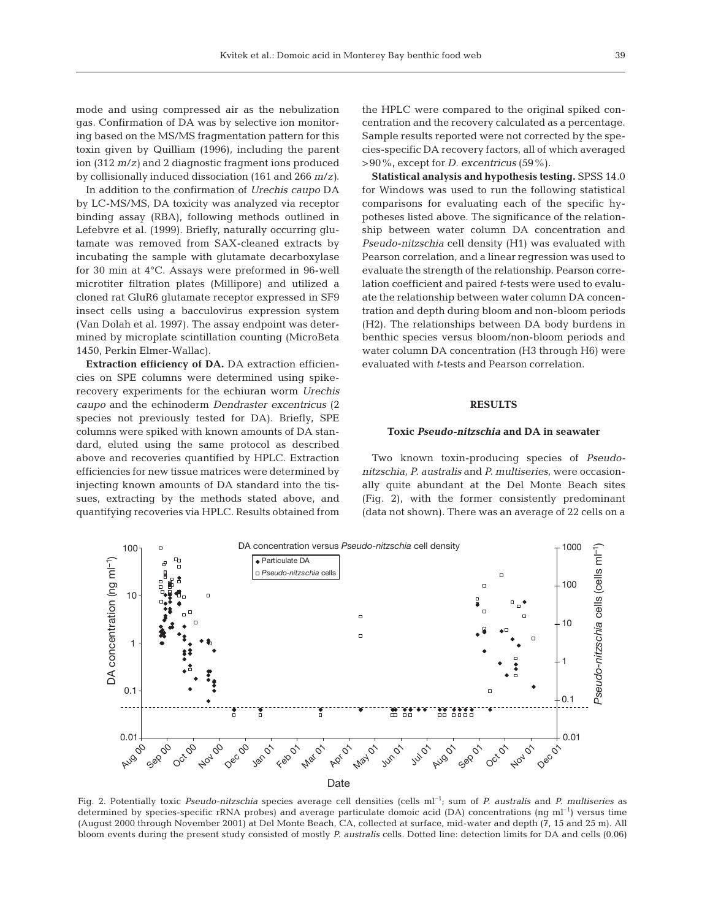mode and using compressed air as the nebulization gas. Confirmation of DA was by selective ion monitoring based on the MS/MS fragmentation pattern for this toxin given by Quilliam (1996), including the parent ion (312 *m*/*z)* and 2 diagnostic fragment ions produced by collisionally induced dissociation (161 and 266 *m*/*z)*.

In addition to the confirmation of *Urechis caupo* DA by LC-MS/MS, DA toxicity was analyzed via receptor binding assay (RBA), following methods outlined in Lefebvre et al. (1999). Briefly, naturally occurring glutamate was removed from SAX-cleaned extracts by incubating the sample with glutamate decarboxylase for 30 min at 4°C. Assays were preformed in 96-well microtiter filtration plates (Millipore) and utilized a cloned rat GluR6 glutamate receptor expressed in SF9 insect cells using a bacculovirus expression system (Van Dolah et al. 1997). The assay endpoint was determined by microplate scintillation counting (MicroBeta 1450, Perkin Elmer-Wallac).

**Extraction efficiency of DA.** DA extraction efficiencies on SPE columns were determined using spikerecovery experiments for the echiuran worm *Urechis caupo* and the echinoderm *Dendraster excentricus* (2 species not previously tested for DA). Briefly, SPE columns were spiked with known amounts of DA standard, eluted using the same protocol as described above and recoveries quantified by HPLC. Extraction efficiencies for new tissue matrices were determined by injecting known amounts of DA standard into the tissues, extracting by the methods stated above, and quantifying recoveries via HPLC. Results obtained from the HPLC were compared to the original spiked concentration and the recovery calculated as a percentage. Sample results reported were not corrected by the species-specific DA recovery factors, all of which averaged >90%, except for *D. excentricus* (59%).

**Statistical analysis and hypothesis testing.** SPSS 14.0 for Windows was used to run the following statistical comparisons for evaluating each of the specific hypotheses listed above. The significance of the relationship between water column DA concentration and *Pseudo-nitzschia* cell density (H1) was evaluated with Pearson correlation, and a linear regression was used to evaluate the strength of the relationship. Pearson correlation coefficient and paired *t*-tests were used to evaluate the relationship between water column DA concentration and depth during bloom and non-bloom periods (H2). The relationships between DA body burdens in benthic species versus bloom/non-bloom periods and water column DA concentration (H3 through H6) were evaluated with *t*-tests and Pearson correlation.

#### **RESULTS**

#### **Toxic** *Pseudo-nitzschia* **and DA in seawater**

Two known toxin-producing species of *Pseudonitzschia, P. australis* and *P. multiseries*, were occasionally quite abundant at the Del Monte Beach sites (Fig. 2), with the former consistently predominant (data not shown). There was an average of 22 cells on a



Fig. 2. Potentially toxic *Pseudo-nitzschia* species average cell densities (cells ml<sup>-1</sup>; sum of *P. australis* and *P. multiseries* as determined by species-specific rRNA probes) and average particulate domoic acid (DA) concentrations (ng m $l^{-1}$ ) versus time (August 2000 through November 2001) at Del Monte Beach, CA, collected at surface, mid-water and depth (7, 15 and 25 m). All bloom events during the present study consisted of mostly *P. australis* cells. Dotted line: detection limits for DA and cells (0.06)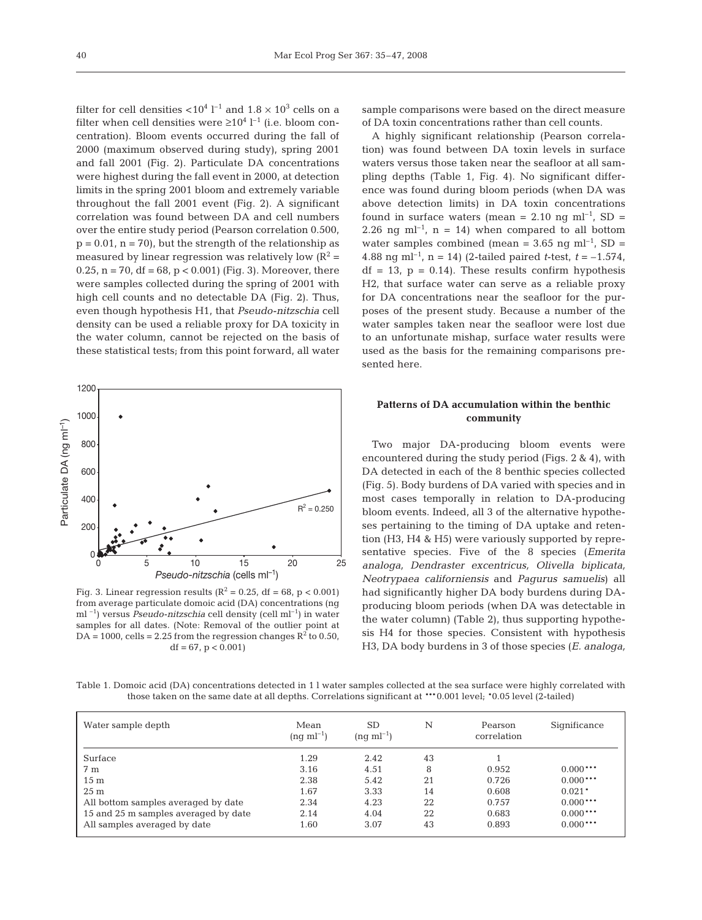filter for cell densities  $<$ 10<sup>4</sup> l<sup>-1</sup> and 1.8  $\times$  10<sup>3</sup> cells on a filter when cell densities were  $\geq 10^4$  l<sup>-1</sup> (i.e. bloom concentration). Bloom events occurred during the fall of 2000 (maximum observed during study), spring 2001 and fall 2001 (Fig. 2). Particulate DA concentrations were highest during the fall event in 2000, at detection limits in the spring 2001 bloom and extremely variable throughout the fall 2001 event (Fig. 2). A significant correlation was found between DA and cell numbers over the entire study period (Pearson correlation 0.500,  $p = 0.01$ ,  $n = 70$ , but the strength of the relationship as measured by linear regression was relatively low  $(R^2 =$ 0.25,  $n = 70$ ,  $df = 68$ ,  $p < 0.001$ ) (Fig. 3). Moreover, there were samples collected during the spring of 2001 with high cell counts and no detectable DA (Fig. 2). Thus, even though hypothesis H1, that *Pseudo-nitzschia* cell density can be used a reliable proxy for DA toxicity in the water column, cannot be rejected on the basis of these statistical tests; from this point forward, all water



Fig. 3. Linear regression results ( $R^2 = 0.25$ , df = 68, p < 0.001) from average particulate domoic acid (DA) concentrations (ng ml<sup>-1</sup>) versus *Pseudo-nitzschia* cell density (cell ml<sup>-1</sup>) in water samples for all dates. (Note: Removal of the outlier point at  $DA = 1000$ , cells = 2.25 from the regression changes  $R^2$  to 0.50,  $df = 67$ ,  $p < 0.001$ 

sample comparisons were based on the direct measure of DA toxin concentrations rather than cell counts.

A highly significant relationship (Pearson correlation) was found between DA toxin levels in surface waters versus those taken near the seafloor at all sampling depths (Table 1, Fig. 4). No significant difference was found during bloom periods (when DA was above detection limits) in DA toxin concentrations found in surface waters (mean =  $2.10$  ng ml<sup>-1</sup>, SD = 2.26 ng ml<sup>-1</sup>, n = 14) when compared to all bottom water samples combined (mean =  $3.65$  ng ml<sup>-1</sup>, SD = 4.88 ng ml<sup>-1</sup>, n = 14) (2-tailed paired *t*-test,  $t = -1.574$ ,  $df = 13$ ,  $p = 0.14$ ). These results confirm hypothesis H2, that surface water can serve as a reliable proxy for DA concentrations near the seafloor for the purposes of the present study. Because a number of the water samples taken near the seafloor were lost due to an unfortunate mishap, surface water results were used as the basis for the remaining comparisons presented here.

# **Patterns of DA accumulation within the benthic community**

Two major DA-producing bloom events were encountered during the study period (Figs. 2 & 4), with DA detected in each of the 8 benthic species collected (Fig. 5). Body burdens of DA varied with species and in most cases temporally in relation to DA-producing bloom events. Indeed, all 3 of the alternative hypotheses pertaining to the timing of DA uptake and retention (H3, H4 & H5) were variously supported by representative species. Five of the 8 species (*Emerita analoga, Dendraster excentricus, Olivella biplicata, Neotrypaea californiensis* and *Pagurus samuelis*) all had significantly higher DA body burdens during DAproducing bloom periods (when DA was detectable in the water column) (Table 2), thus supporting hypothesis H4 for those species. Consistent with hypothesis H3, DA body burdens in 3 of those species (*E. analoga,*

Table 1. Domoic acid (DA) concentrations detected in 1 l water samples collected at the sea surface were highly correlated with those taken on the same date at all depths. Correlations significant at \*\*\*0.001 level; \*0.05 level (2-tailed)

| Water sample depth                   | Mean<br>$(nq \text{ ml}^{-1})$ | <b>SD</b><br>$(ng \text{ ml}^{-1})$ | N  | Pearson<br>correlation | Significance |
|--------------------------------------|--------------------------------|-------------------------------------|----|------------------------|--------------|
| Surface                              | 1.29                           | 2.42                                | 43 |                        |              |
| 7 <sub>m</sub>                       | 3.16                           | 4.51                                | 8  | 0.952                  | $0.000***$   |
| 15 <sub>m</sub>                      | 2.38                           | 5.42                                | 21 | 0.726                  | $0.000***$   |
| 25 <sub>m</sub>                      | 1.67                           | 3.33                                | 14 | 0.608                  | $0.021*$     |
| All bottom samples averaged by date  | 2.34                           | 4.23                                | 22 | 0.757                  | $0.000***$   |
| 15 and 25 m samples averaged by date | 2.14                           | 4.04                                | 22 | 0.683                  | $0.000***$   |
| All samples averaged by date         | 1.60                           | 3.07                                | 43 | 0.893                  | $0.000***$   |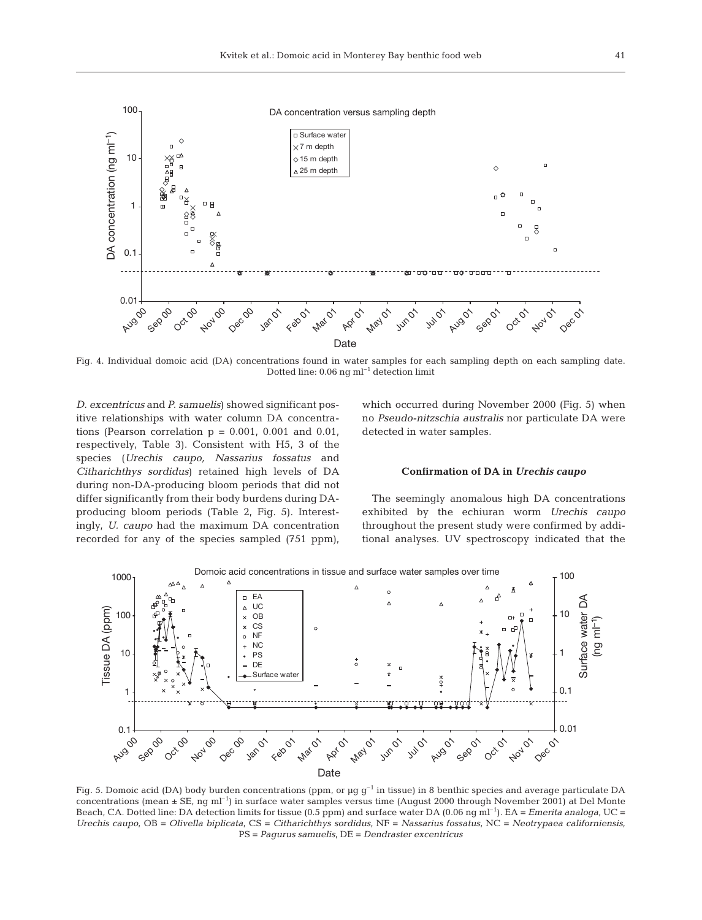

Fig. 4. Individual domoic acid (DA) concentrations found in water samples for each sampling depth on each sampling date. Dotted line:  $0.06$  ng ml<sup>-1</sup> detection limit

*D. excentricus* and *P. samuelis*) showed significant positive relationships with water column DA concentrations (Pearson correlation  $p = 0.001$ , 0.001 and 0.01, respectively, Table 3). Consistent with H5, 3 of the species (*Urechis caupo, Nassarius fossatus* and *Citharichthys sordidus*) retained high levels of DA during non-DA-producing bloom periods that did not differ significantly from their body burdens during DAproducing bloom periods (Table 2, Fig. 5). Interestingly, *U. caupo* had the maximum DA concentration recorded for any of the species sampled (751 ppm),

which occurred during November 2000 (Fig. 5) when no *Pseudo-nitzschia australis* nor particulate DA were detected in water samples.

#### **Confirmation of DA in** *Urechis caupo*

The seemingly anomalous high DA concentrations exhibited by the echiuran worm *Urechis caupo* throughout the present study were confirmed by additional analyses. UV spectroscopy indicated that the



Fig. 5. Domoic acid (DA) body burden concentrations (ppm, or  $\mu$ g g<sup>-1</sup> in tissue) in 8 benthic species and average particulate DA concentrations (mean  $\pm$  SE, ng ml<sup>-1</sup>) in surface water samples versus time (August 2000 through November 2001) at Del Monte Beach, CA. Dotted line: DA detection limits for tissue (0.5 ppm) and surface water DA (0.06 ng ml–1). EA = *Emerita analoga*, UC = *Urechis caupo*, OB = *Olivella biplicata*, CS = *Citharichthys sordidus*, NF = *Nassarius fossatus*, NC = *Neotrypaea californiensis*, PS = *Pagurus samuelis*, DE = *Dendraster excentricus*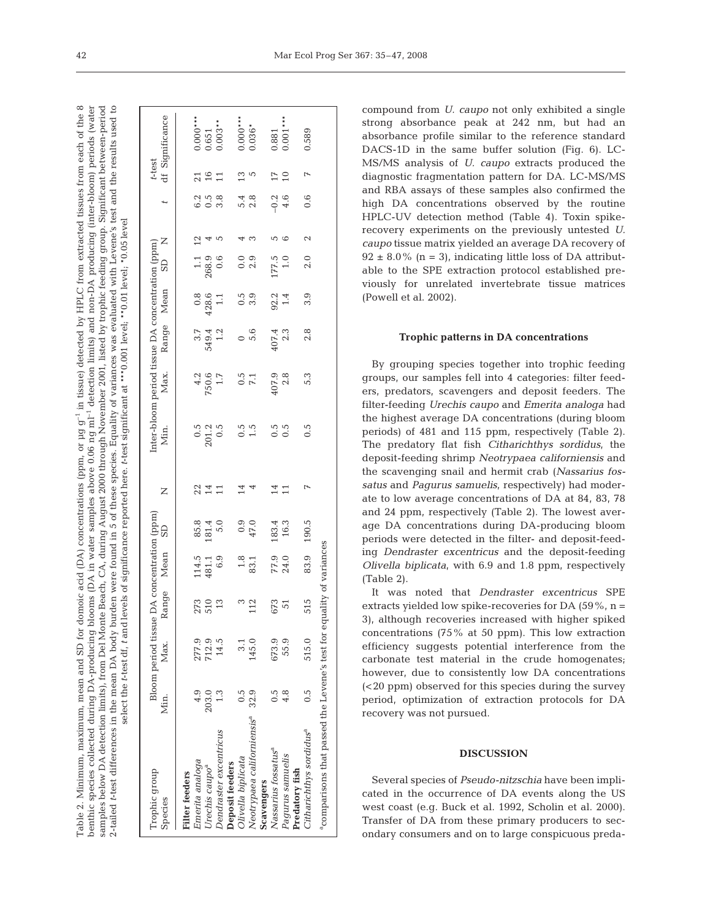in tissue) detected by HPLC from extracted tissues from each of the  $8$ benthic species collected during DA-producing blooms (DA in water samples above 0.06 ng ml<sup>-1</sup> detection limits) and non-DA producing (inter-bloom) periods (water Significant between-period and the results used to Table 2. Minimum, maximum, mean and SD for domoic acid (DA) concentrations (ppm, or µg g–1 in tissue) detected by HPLC from extracted tissues from each of the 8 benthic species collected during DA-producing blooms (DA in water samples above 0.06 ng ml–1 detection limits) and non-DA producing (inter-bloom) periods (water samples below DA detection limits), from Del Monte Beach, CA, during August 2000 through November 2001, listed by trophic feeding group. Significant between-period 2-tailed *t*-test differences in the mean DA body burden were found in 5 of these species. Equality of variances was evaluated with Levene's test and the results used to test level select the *t*-test df, *t* and levels of significance reported here. *t*-test significant at \*\*\*0.001 level; \*\*0.01 level; \*0.05 levelsamples below DA detection limits), from Del Monte Beach, CA, during August 2000 through November 2001, listed by trophic feeding group. Equality of variances was evaluated with Levene's \*\*\*0.001 level; \*\*0.01 level; \*0.05 select the t-test df, t and levels of significance reported here. t-test significant at fable 2. Minimum, maximum, mean and SD for domoic acid (DA) concentrations (ppm, or  $\mu$ g g<sup>-1</sup> 5 of these species. 2-tailed t-test differences in the mean DA body burden were found in

| Trophic group<br>Species                                              | Min.           | Bloom period tissue D<br>Мах. |                  | e DA concentration (ppm)<br>Range Mean SD            |                                                     | Z              |                           | $\begin{tabular}{llll} Inter-bloom period tissue DA concentration (ppm) \\ Min. & Max. Range Mean SD & ND \\ \end{tabular}$ |                  |                                                    |                                                    |                |                         | t-test                                        | df Significance                                          |
|-----------------------------------------------------------------------|----------------|-------------------------------|------------------|------------------------------------------------------|-----------------------------------------------------|----------------|---------------------------|-----------------------------------------------------------------------------------------------------------------------------|------------------|----------------------------------------------------|----------------------------------------------------|----------------|-------------------------|-----------------------------------------------|----------------------------------------------------------|
| <b>Filter</b> feeders                                                 |                |                               |                  |                                                      |                                                     |                |                           |                                                                                                                             |                  |                                                    |                                                    |                |                         |                                               |                                                          |
| Emerita analoga                                                       | 4.9            | 277.9                         |                  |                                                      |                                                     |                |                           |                                                                                                                             |                  |                                                    |                                                    |                |                         |                                               |                                                          |
| Urechis caupo <sup>a</sup>                                            | 203.0          | 712.9                         | 273<br>510<br>13 | $\begin{array}{c} 114.5 \\ 481.1 \\ 6.9 \end{array}$ | $\begin{array}{c} 85.8 \\ 181.4 \\ 5.0 \end{array}$ | $224$          | $0.5$<br>$201.2$<br>$0.5$ | $750.6$<br>750.6                                                                                                            |                  | $\begin{array}{c} 0.8 \\ 428.6 \\ 1.1 \end{array}$ |                                                    |                | 0<br>0 0 0<br>0 0       | $\begin{array}{c} 21 \\ 16 \\ 11 \end{array}$ | $\begin{array}{c} 0.000*** \ 0.651\ 0.003** \end{array}$ |
| Dendraster excentricus                                                |                | 14.5                          |                  |                                                      |                                                     |                |                           |                                                                                                                             | $549.4$<br>$1.2$ |                                                    | $\begin{array}{c} 1.1 \\ 268.9 \\ 0.6 \end{array}$ | $\overline{5}$ |                         |                                               |                                                          |
| Deposit feeders                                                       |                |                               |                  |                                                      |                                                     |                |                           |                                                                                                                             |                  |                                                    |                                                    |                |                         |                                               |                                                          |
| Olivella biplicata                                                    |                |                               | $\frac{3}{12}$   | $\frac{1.8}{83.1}$                                   |                                                     | 14             |                           |                                                                                                                             |                  |                                                    | $0.0$<br>$2.9$                                     |                |                         |                                               |                                                          |
| Neotrypaea californiensis <sup>a</sup> 32.9                           |                | 145.0                         |                  |                                                      | $0.9$<br>47.0                                       |                | 0.5<br>1.5                | $0.5$<br>7.1                                                                                                                | $0,0$<br>$0,0$   | $0.5$<br>$3.9$                                     |                                                    |                | $5.\overline{4}$<br>2.8 | $13$<br>5                                     | $0.000***$                                               |
| Scavengers                                                            |                |                               |                  |                                                      |                                                     |                |                           |                                                                                                                             |                  |                                                    |                                                    |                |                         |                                               |                                                          |
| Nassarius fossatus <sup>a</sup>                                       | 0.5            | 673.9                         |                  |                                                      |                                                     | 14             |                           |                                                                                                                             |                  |                                                    |                                                    |                |                         |                                               |                                                          |
| Pagurus samuelis                                                      | $\frac{8}{4}$  | 55.9                          | 673<br>51        | 77.9<br>24.0                                         | $183.4$<br>$16.3$                                   | 11             | $0.5$<br>0.5              | $\frac{407.9}{2.8}$                                                                                                         | $407.4$<br>2.3   | $92.2$<br>$1.4$                                    | 177.5<br>1.0                                       |                | $-0.2$<br>4.6           | 17 <sub>10</sub>                              | $0.881$<br>$0.001$                                       |
| Predatory fish                                                        |                |                               |                  |                                                      |                                                     |                |                           |                                                                                                                             |                  |                                                    |                                                    |                |                         |                                               |                                                          |
| Citharichthys sordidus <sup>a</sup>                                   | $\overline{0}$ | 515.0                         | 515              | 83.9                                                 | 190.5                                               | $\overline{ }$ | $0.\overline{5}$          | 5.3                                                                                                                         | 2.8              | 3.9                                                | 2.0                                                | 2              | 0.6                     | $\overline{r}$                                | 0.589                                                    |
| a comparisons that passed the Levene's test for equality of variances |                |                               |                  |                                                      |                                                     |                |                           |                                                                                                                             |                  |                                                    |                                                    |                |                         |                                               |                                                          |

compound from *U. caupo* not only exhibited a single strong absorbance peak at 242 nm, but had an absorbance profile similar to the reference standard DACS-1D in the same buffer solution (Fig. 6). LC-MS/MS analysis of *U. caupo* extracts produced the diagnostic fragmentation pattern for DA. LC-MS/MS and RBA assays of these samples also confirmed the high DA concentrations observed by the routine HPLC-UV detection method (Table 4). Toxin spikerecovery experiments on the previously untested *U. caupo* tissue matrix yielded an average DA recovery of  $92 \pm 8.0\%$  (n = 3), indicating little loss of DA attributable to the SPE extraction protocol established previously for unrelated invertebrate tissue matrices (Powell et al. 2002).

#### **Trophic patterns in DA concentrations**

By grouping species together into trophic feeding groups, our samples fell into 4 categories: filter feeders, predators, scavengers and deposit feeders. The filter-feeding *Urechis caupo* and *Emerita analoga* had the highest average DA concentrations (during bloom periods) of 481 and 115 ppm, respectively (Table 2). The predatory flat fish *Citharichthys sordidus*, the deposit-feeding shrimp *Neotrypaea californiensis* and the scavenging snail and hermit crab (*Nassarius fossatus* and *Pagurus samuelis*, respectively) had moderate to low average concentrations of DA at 84, 83, 78 and 24 ppm, respectively (Table 2). The lowest average DA concentrations during DA-producing bloom periods were detected in the filter- and deposit-feeding *Dendraster excentricus* and the deposit-feeding *Olivella biplicata*, with 6.9 and 1.8 ppm, respectively (Table 2).

It was noted that *Dendraster excentricus* SPE extracts yielded low spike-recoveries for DA  $(59\% , n =$ 3), although recoveries increased with higher spiked concentrations (75% at 50 ppm). This low extraction efficiency suggests potential interference from the carbonate test material in the crude homogenates; however, due to consistently low DA concentrations (<20 ppm) observed for this species during the survey period, optimization of extraction protocols for DA recovery was not pursued.

### **DISCUSSION**

Several species of *Pseudo-nitzschia* have been implicated in the occurrence of DA events along the US west coast (e.g. Buck et al. 1992, Scholin et al. 2000). Transfer of DA from these primary producers to secondary consumers and on to large conspicuous preda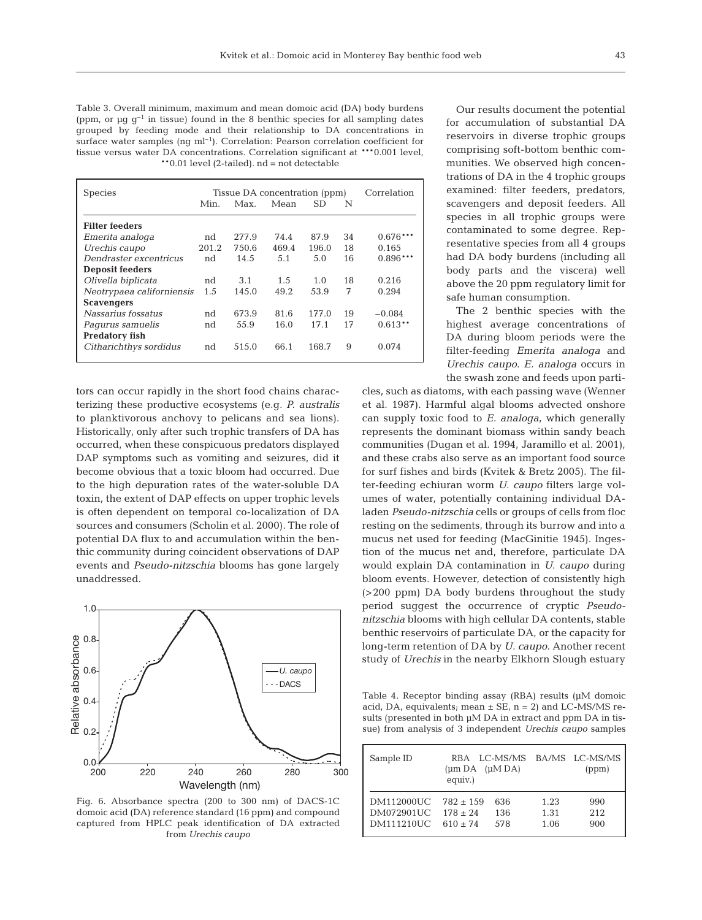Table 3. Overall minimum, maximum and mean domoic acid (DA) body burdens (ppm, or  $\mu$ g g<sup>-1</sup> in tissue) found in the 8 benthic species for all sampling dates grouped by feeding mode and their relationship to DA concentrations in surface water samples  $(nq \text{ ml}^{-1})$ . Correlation: Pearson correlation coefficient for tissue versus water DA concentrations. Correlation significant at \*\*\*0.001 level, \*\*0.01 level (2-tailed). nd = not detectable

| <b>Species</b>            | Correlation<br>Tissue DA concentration (ppm) |       |       |           |    |            |
|---------------------------|----------------------------------------------|-------|-------|-----------|----|------------|
|                           | Min.                                         | Max.  | Mean  | <b>SD</b> | N  |            |
| <b>Filter feeders</b>     |                                              |       |       |           |    |            |
| Emerita analoga           | nd                                           | 277.9 | 74.4  | 87.9      | 34 | $0.676***$ |
| Urechis caupo             | 201.2                                        | 750.6 | 469.4 | 196.0     | 18 | 0.165      |
| Dendraster excentricus    | nd                                           | 14.5  | 5.1   | 5.0       | 16 | $0.896***$ |
| <b>Deposit feeders</b>    |                                              |       |       |           |    |            |
| Olivella biplicata        | nd                                           | 3.1   | 1.5   | 1.0       | 18 | 0.216      |
| Neotrypaea californiensis | 1.5                                          | 145.0 | 49.2  | 53.9      | 7  | 0.294      |
| <b>Scavengers</b>         |                                              |       |       |           |    |            |
| Nassarius fossatus        | nd                                           | 673.9 | 81.6  | 177.0     | 19 | $-0.084$   |
| Pagurus samuelis          | nd                                           | 55.9  | 16.0  | 17.1      | 17 | $0.613**$  |
| <b>Predatory fish</b>     |                                              |       |       |           |    |            |
| Citharichthys sordidus    | nd                                           | 515.0 | 66.1  | 168.7     | 9  | 0.074      |
|                           |                                              |       |       |           |    |            |

tors can occur rapidly in the short food chains characterizing these productive ecosystems (e.g. *P. australis* to planktivorous anchovy to pelicans and sea lions). Historically, only after such trophic transfers of DA has occurred, when these conspicuous predators displayed DAP symptoms such as vomiting and seizures, did it become obvious that a toxic bloom had occurred. Due to the high depuration rates of the water-soluble DA toxin, the extent of DAP effects on upper trophic levels is often dependent on temporal co-localization of DA sources and consumers (Scholin et al. 2000). The role of potential DA flux to and accumulation within the benthic community during coincident observations of DAP events and *Pseudo-nitzschia* blooms has gone largely unaddressed.



Fig. 6. Absorbance spectra (200 to 300 nm) of DACS-1C domoic acid (DA) reference standard (16 ppm) and compound captured from HPLC peak identification of DA extracted from *Urechis caupo*

Our results document the potential for accumulation of substantial DA reservoirs in diverse trophic groups comprising soft-bottom benthic communities. We observed high concentrations of DA in the 4 trophic groups examined: filter feeders, predators, scavengers and deposit feeders. All species in all trophic groups were contaminated to some degree. Representative species from all 4 groups had DA body burdens (including all body parts and the viscera) well above the 20 ppm regulatory limit for safe human consumption.

The 2 benthic species with the highest average concentrations of DA during bloom periods were the filter-feeding *Emerita analoga* and *Urechis caupo*. *E. analoga* occurs in the swash zone and feeds upon parti-

cles, such as diatoms, with each passing wave (Wenner et al. 1987). Harmful algal blooms advected onshore can supply toxic food to *E. analoga*, which generally represents the dominant biomass within sandy beach communities (Dugan et al. 1994, Jaramillo et al. 2001), and these crabs also serve as an important food source for surf fishes and birds (Kvitek & Bretz 2005). The filter-feeding echiuran worm *U. caupo* filters large volumes of water, potentially containing individual DAladen *Pseudo-nitzschia* cells or groups of cells from floc resting on the sediments, through its burrow and into a mucus net used for feeding (MacGinitie 1945). Ingestion of the mucus net and, therefore, particulate DA would explain DA contamination in *U. caupo* during bloom events. However, detection of consistently high (>200 ppm) DA body burdens throughout the study period suggest the occurrence of cryptic *Pseudonitzschia* blooms with high cellular DA contents, stable benthic reservoirs of particulate DA, or the capacity for long-term retention of DA by *U. caupo.* Another recent study of *Urechis* in the nearby Elkhorn Slough estuary

Table 4. Receptor binding assay (RBA) results (µM domoic acid, DA, equivalents; mean  $\pm$  SE, n = 2) and LC-MS/MS results (presented in both µM DA in extract and ppm DA in tissue) from analysis of 3 independent *Urechis caupo* samples

| Sample ID  | $(\mu m DA$ $(\mu M DA)$<br>equiv.) |     |      | RBA LC-MS/MS BA/MS LC-MS/MS<br>(ppm) |
|------------|-------------------------------------|-----|------|--------------------------------------|
| DM112000UC | $782 + 159$                         | 636 | 1.23 | 990                                  |
| DM072901UC | $178 + 24$                          | 136 | 1.31 | 2.12                                 |
| DM111210UC | $610 + 74$                          | 578 | 1.06 | 900                                  |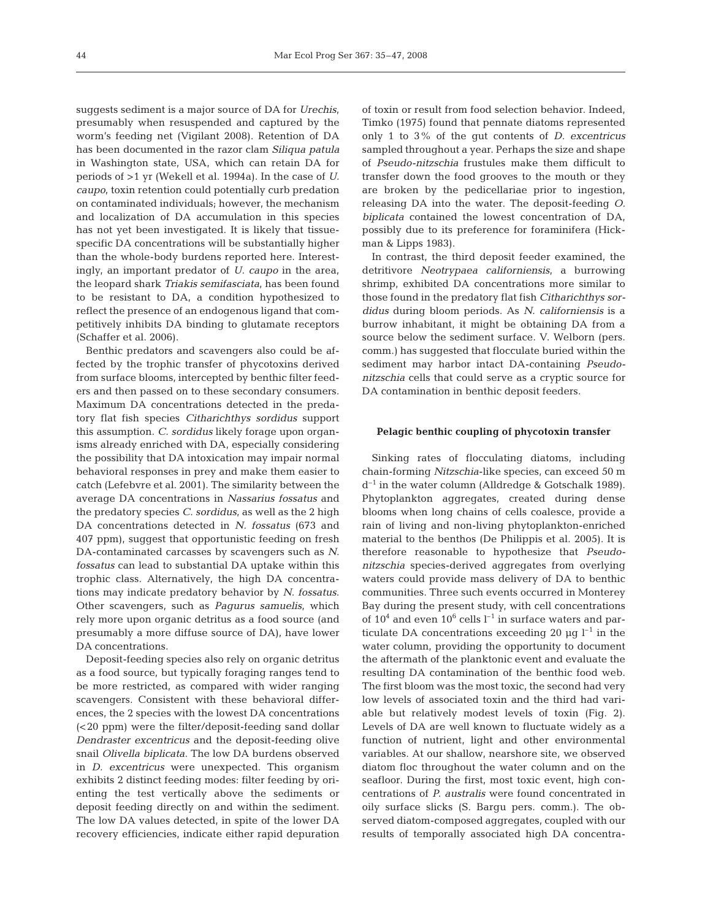suggests sediment is a major source of DA for *Urechis*, presumably when resuspended and captured by the worm's feeding net (Vigilant 2008). Retention of DA has been documented in the razor clam *Siliqua patula* in Washington state, USA, which can retain DA for periods of >1 yr (Wekell et al. 1994a). In the case of *U. caupo*, toxin retention could potentially curb predation on contaminated individuals; however, the mechanism and localization of DA accumulation in this species has not yet been investigated. It is likely that tissuespecific DA concentrations will be substantially higher than the whole-body burdens reported here. Interestingly, an important predator of *U. caupo* in the area, the leopard shark *Triakis semifasciata*, has been found to be resistant to DA, a condition hypothesized to reflect the presence of an endogenous ligand that competitively inhibits DA binding to glutamate receptors (Schaffer et al. 2006).

Benthic predators and scavengers also could be affected by the trophic transfer of phycotoxins derived from surface blooms, intercepted by benthic filter feeders and then passed on to these secondary consumers. Maximum DA concentrations detected in the predatory flat fish species *Citharichthys sordidus* support this assumption. *C. sordidus* likely forage upon organisms already enriched with DA, especially considering the possibility that DA intoxication may impair normal behavioral responses in prey and make them easier to catch (Lefebvre et al. 2001). The similarity between the average DA concentrations in *Nassarius fossatus* and the predatory species *C. sordidus*, as well as the 2 high DA concentrations detected in *N. fossatus* (673 and 407 ppm), suggest that opportunistic feeding on fresh DA-contaminated carcasses by scavengers such as *N. fossatus* can lead to substantial DA uptake within this trophic class. Alternatively, the high DA concentrations may indicate predatory behavior by *N. fossatus*. Other scavengers, such as *Pagurus samuelis*, which rely more upon organic detritus as a food source (and presumably a more diffuse source of DA), have lower DA concentrations.

Deposit-feeding species also rely on organic detritus as a food source, but typically foraging ranges tend to be more restricted, as compared with wider ranging scavengers. Consistent with these behavioral differences, the 2 species with the lowest DA concentrations (<20 ppm) were the filter/deposit-feeding sand dollar *Dendraster excentricus* and the deposit-feeding olive snail *Olivella biplicata*. The low DA burdens observed in *D. excentricus* were unexpected. This organism exhibits 2 distinct feeding modes: filter feeding by orienting the test vertically above the sediments or deposit feeding directly on and within the sediment. The low DA values detected, in spite of the lower DA recovery efficiencies, indicate either rapid depuration

of toxin or result from food selection behavior. Indeed, Timko (1975) found that pennate diatoms represented only 1 to 3% of the gut contents of *D. excentricus* sampled throughout a year. Perhaps the size and shape of *Pseudo-nitzschia* frustules make them difficult to transfer down the food grooves to the mouth or they are broken by the pedicellariae prior to ingestion, releasing DA into the water. The deposit-feeding *O. biplicata* contained the lowest concentration of DA, possibly due to its preference for foraminifera (Hickman & Lipps 1983).

In contrast, the third deposit feeder examined, the detritivore *Neotrypaea californiensis*, a burrowing shrimp, exhibited DA concentrations more similar to those found in the predatory flat fish *Citharichthys sordidus* during bloom periods. As *N. californiensis* is a burrow inhabitant, it might be obtaining DA from a source below the sediment surface. V. Welborn (pers. comm.) has suggested that flocculate buried within the sediment may harbor intact DA-containing *Pseudonitzschia* cells that could serve as a cryptic source for DA contamination in benthic deposit feeders.

#### **Pelagic benthic coupling of phycotoxin transfer**

Sinking rates of flocculating diatoms, including chain-forming *Nitzschia*-like species, can exceed 50 m  $d^{-1}$  in the water column (Alldredge & Gotschalk 1989). Phytoplankton aggregates, created during dense blooms when long chains of cells coalesce, provide a rain of living and non-living phytoplankton-enriched material to the benthos (De Philippis et al. 2005). It is therefore reasonable to hypothesize that *Pseudonitzschia* species-derived aggregates from overlying waters could provide mass delivery of DA to benthic communities. Three such events occurred in Monterey Bay during the present study, with cell concentrations of  $10^4$  and even  $10^6$  cells  $l^{-1}$  in surface waters and particulate DA concentrations exceeding 20  $\mu$ g l<sup>-1</sup> in the water column, providing the opportunity to document the aftermath of the planktonic event and evaluate the resulting DA contamination of the benthic food web. The first bloom was the most toxic, the second had very low levels of associated toxin and the third had variable but relatively modest levels of toxin (Fig. 2). Levels of DA are well known to fluctuate widely as a function of nutrient, light and other environmental variables. At our shallow, nearshore site, we observed diatom floc throughout the water column and on the seafloor. During the first, most toxic event, high concentrations of *P. australis* were found concentrated in oily surface slicks (S. Bargu pers. comm.). The observed diatom-composed aggregates, coupled with our results of temporally associated high DA concentra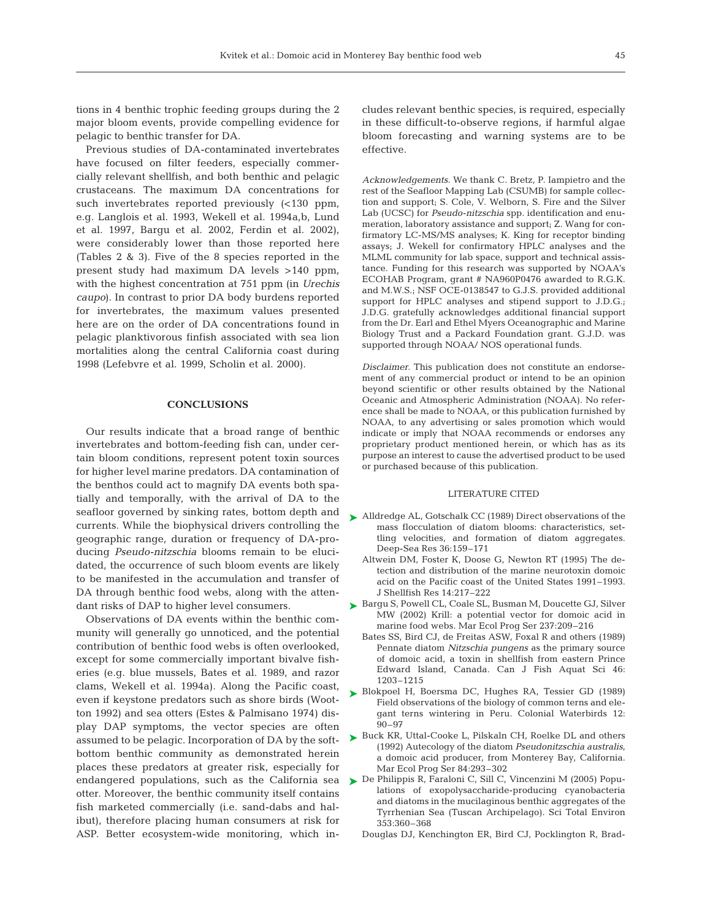tions in 4 benthic trophic feeding groups during the 2 major bloom events, provide compelling evidence for pelagic to benthic transfer for DA.

Previous studies of DA-contaminated invertebrates have focused on filter feeders, especially commercially relevant shellfish, and both benthic and pelagic crustaceans. The maximum DA concentrations for such invertebrates reported previously (<130 ppm, e.g. Langlois et al. 1993, Wekell et al. 1994a,b, Lund et al. 1997, Bargu et al. 2002, Ferdin et al. 2002), were considerably lower than those reported here (Tables 2 & 3). Five of the 8 species reported in the present study had maximum DA levels >140 ppm, with the highest concentration at 751 ppm (in *Urechis caupo*). In contrast to prior DA body burdens reported for invertebrates, the maximum values presented here are on the order of DA concentrations found in pelagic planktivorous finfish associated with sea lion mortalities along the central California coast during 1998 (Lefebvre et al. 1999, Scholin et al. 2000).

#### **CONCLUSIONS**

Our results indicate that a broad range of benthic invertebrates and bottom-feeding fish can, under certain bloom conditions, represent potent toxin sources for higher level marine predators. DA contamination of the benthos could act to magnify DA events both spatially and temporally, with the arrival of DA to the seafloor governed by sinking rates, bottom depth and currents. While the biophysical drivers controlling the geographic range, duration or frequency of DA-producing *Pseudo-nitzschia* blooms remain to be elucidated, the occurrence of such bloom events are likely to be manifested in the accumulation and transfer of DA through benthic food webs, along with the attendant risks of DAP to higher level consumers.

Observations of DA events within the benthic community will generally go unnoticed, and the potential contribution of benthic food webs is often overlooked, except for some commercially important bivalve fisheries (e.g. blue mussels, Bates et al. 1989, and razor clams, Wekell et al. 1994a). Along the Pacific coast, even if keystone predators such as shore birds (Wootton 1992) and sea otters (Estes & Palmisano 1974) display DAP symptoms, the vector species are often assumed to be pelagic. Incorporation of DA by the softbottom benthic community as demonstrated herein places these predators at greater risk, especially for endangered populations, such as the California sea otter. Moreover, the benthic community itself contains fish marketed commercially (i.e. sand-dabs and halibut), therefore placing human consumers at risk for ASP. Better ecosystem-wide monitoring, which includes relevant benthic species, is required, especially in these difficult-to-observe regions, if harmful algae bloom forecasting and warning systems are to be effective.

*Acknowledgements*. We thank C. Bretz, P. Iampietro and the rest of the Seafloor Mapping Lab (CSUMB) for sample collection and support; S. Cole, V. Welborn, S. Fire and the Silver Lab (UCSC) for *Pseudo-nitzschia* spp. identification and enumeration, laboratory assistance and support; Z. Wang for confirmatory LC-MS/MS analyses; K. King for receptor binding assays; J. Wekell for confirmatory HPLC analyses and the MLML community for lab space, support and technical assistance. Funding for this research was supported by NOAA's ECOHAB Program, grant # NA960P0476 awarded to R.G.K. and M.W.S.; NSF OCE-0138547 to G.J.S. provided additional support for HPLC analyses and stipend support to J.D.G.; J.D.G. gratefully acknowledges additional financial support from the Dr. Earl and Ethel Myers Oceanographic and Marine Biology Trust and a Packard Foundation grant. G.J.D. was supported through NOAA/ NOS operational funds.

*Disclaimer.* This publication does not constitute an endorsement of any commercial product or intend to be an opinion beyond scientific or other results obtained by the National Oceanic and Atmospheric Administration (NOAA). No reference shall be made to NOAA, or this publication furnished by NOAA, to any advertising or sales promotion which would indicate or imply that NOAA recommends or endorses any proprietary product mentioned herein, or which has as its purpose an interest to cause the advertised product to be used or purchased because of this publication.

#### LITERATURE CITED

- ► Alldredge AL, Gotschalk CC (1989) Direct observations of the mass flocculation of diatom blooms: characteristics, settling velocities, and formation of diatom aggregates. Deep-Sea Res 36:159–171
	- Altwein DM, Foster K, Doose G, Newton RT (1995) The detection and distribution of the marine neurotoxin domoic acid on the Pacific coast of the United States 1991–1993. J Shellfish Res 14:217–222
- ▶ Bargu S, Powell CL, Coale SL, Busman M, Doucette GJ, Silver MW (2002) Krill: a potential vector for domoic acid in marine food webs. Mar Ecol Prog Ser 237:209–216
	- Bates SS, Bird CJ, de Freitas ASW, Foxal R and others (1989) Pennate diatom *Nitzschia pungens* as the primary source of domoic acid, a toxin in shellfish from eastern Prince Edward Island, Canada. Can J Fish Aquat Sci 46: 1203–1215
- ▶ Blokpoel H, Boersma DC, Hughes RA, Tessier GD (1989) Field observations of the biology of common terns and elegant terns wintering in Peru. Colonial Waterbirds 12: 90–97
- ► Buck KR, Uttal-Cooke L, Pilskaln CH, Roelke DL and others (1992) Autecology of the diatom *Pseudonitzschia australis*, a domoic acid producer, from Monterey Bay, California. Mar Ecol Prog Ser 84:293–302
- ► De Philippis R, Faraloni C, Sill C, Vincenzini M (2005) Populations of exopolysaccharide-producing cyanobacteria and diatoms in the mucilaginous benthic aggregates of the Tyrrhenian Sea (Tuscan Archipelago). Sci Total Environ 353:360–368
	- Douglas DJ, Kenchington ER, Bird CJ, Pocklington R, Brad-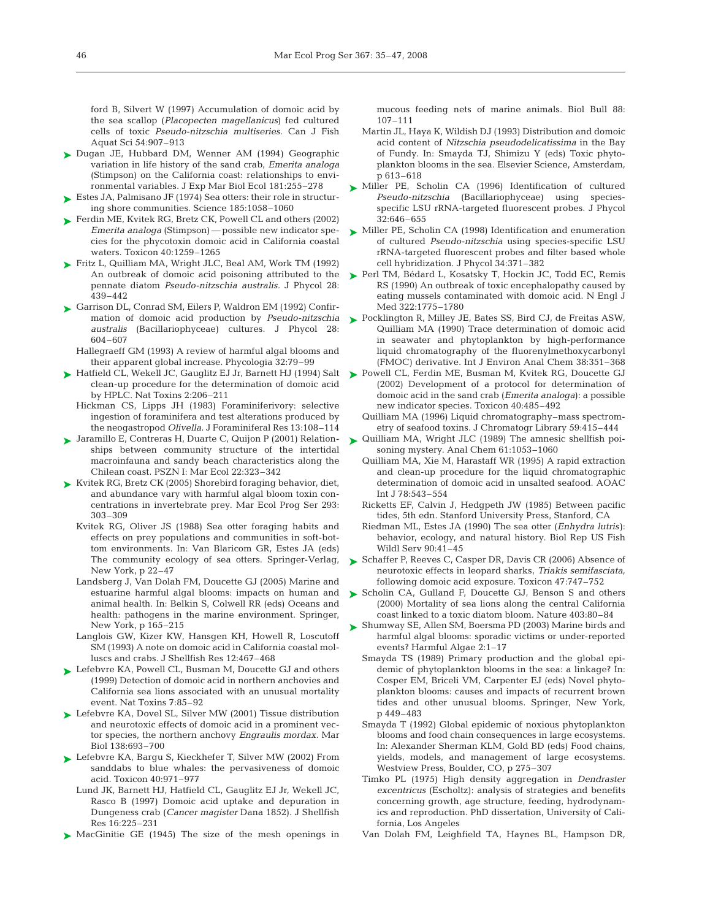ford B, Silvert W (1997) Accumulation of domoic acid by the sea scallop (*Placopecten magellanicus*) fed cultured cells of toxic *Pseudo-nitzschia multiseries.* Can J Fish Aquat Sci 54:907–913

- ► Dugan JE, Hubbard DM, Wenner AM (1994) Geographic variation in life history of the sand crab, *Emerita analoga* (Stimpson) on the California coast: relationships to environmental variables. J Exp Mar Biol Ecol 181:255–278
- $\blacktriangleright$  Estes JA, Palmisano JF (1974) Sea otters: their role in structuring shore communities. Science 185:1058–1060
- ► Ferdin ME, Kvitek RG, Bretz CK, Powell CL and others (2002) *Emerita analoga* (Stimpson) — possible new indicator species for the phycotoxin domoic acid in California coastal waters. Toxicon 40:1259–1265
- Fritz L, Quilliam MA, Wright JLC, Beal AM, Work TM (1992) ➤ An outbreak of domoic acid poisoning attributed to the pennate diatom *Pseudo-nitzschia australis.* J Phycol 28: 439–442
- Garrison DL, Conrad SM, Eilers P, Waldron EM (1992) Confir-➤ mation of domoic acid production by *Pseudo-nitzschia australis* (Bacillariophyceae) cultures. J Phycol 28: 604–607
	- Hallegraeff GM (1993) A review of harmful algal blooms and their apparent global increase. Phycologia 32:79–99
- Hatfield CL, Wekell JC, Gauglitz EJ Jr, Barnett HJ (1994) Salt ➤ clean-up procedure for the determination of domoic acid by HPLC. Nat Toxins 2:206–211
	- Hickman CS, Lipps JH (1983) Foraminiferivory: selective ingestion of foraminifera and test alterations produced by the neogastropod *Olivella.* J Foraminiferal Res 13:108–114
- Jaramillo E, Contreras H, Duarte C, Quijon P (2001) Relation-➤ ships between community structure of the intertidal macroinfauna and sandy beach characteristics along the Chilean coast. PSZN I: Mar Ecol 22:323–342
- Kvitek RG, Bretz CK (2005) Shorebird foraging behavior, diet, ➤ and abundance vary with harmful algal bloom toxin concentrations in invertebrate prey. Mar Ecol Prog Ser 293: 303–309
	- Kvitek RG, Oliver JS (1988) Sea otter foraging habits and effects on prey populations and communities in soft-bottom environments. In: Van Blaricom GR, Estes JA (eds) The community ecology of sea otters. Springer-Verlag, New York, p 22–47
	- Landsberg J, Van Dolah FM, Doucette GJ (2005) Marine and estuarine harmful algal blooms: impacts on human and animal health. In: Belkin S, Colwell RR (eds) Oceans and health: pathogens in the marine environment. Springer, New York, p 165–215
	- Langlois GW, Kizer KW, Hansgen KH, Howell R, Loscutoff SM (1993) A note on domoic acid in California coastal molluscs and crabs. J Shellfish Res 12:467–468
- ► Lefebvre KA, Powell CL, Busman M, Doucette GJ and others (1999) Detection of domoic acid in northern anchovies and California sea lions associated with an unusual mortality event. Nat Toxins 7:85–92
- ► Lefebvre KA, Dovel SL, Silver MW (2001) Tissue distribution and neurotoxic effects of domoic acid in a prominent vector species, the northern anchovy *Engraulis mordax.* Mar Biol 138:693–700
- ► Lefebvre KA, Bargu S, Kieckhefer T, Silver MW (2002) From sanddabs to blue whales: the pervasiveness of domoic acid. Toxicon 40:971–977
	- Lund JK, Barnett HJ, Hatfield CL, Gauglitz EJ Jr, Wekell JC, Rasco B (1997) Domoic acid uptake and depuration in Dungeness crab (*Cancer magister* Dana 1852). J Shellfish Res 16:225–231
- ▶ MacGinitie GE (1945) The size of the mesh openings in

mucous feeding nets of marine animals. Biol Bull 88: 107–111

- Martin JL, Haya K, Wildish DJ (1993) Distribution and domoic acid content of *Nitzschia pseudodelicatissima* in the Bay of Fundy. In: Smayda TJ, Shimizu Y (eds) Toxic phytoplankton blooms in the sea. Elsevier Science, Amsterdam, p 613–618
- ► Miller PE, Scholin CA (1996) Identification of cultured *Pseudo-nitzschia* (Bacillariophyceae) using speciesspecific LSU rRNA-targeted fluorescent probes. J Phycol 32:646–655
- ► Miller PE, Scholin CA (1998) Identification and enumeration of cultured *Pseudo-nitzschia* using species-specific LSU rRNA-targeted fluorescent probes and filter based whole cell hybridization. J Phycol 34:371–382
- ► Perl TM, Bédard L, Kosatsky T, Hockin JC, Todd EC, Remis RS (1990) An outbreak of toxic encephalopathy caused by eating mussels contaminated with domoic acid. N Engl J Med 322:1775–1780
- ► Pocklington R, Milley JE, Bates SS, Bird CJ, de Freitas ASW, Quilliam MA (1990) Trace determination of domoic acid in seawater and phytoplankton by high-performance liquid chromatography of the fluorenylmethoxycarbonyl (FMOC) derivative. Int J Environ Anal Chem 38:351–368
- ► Powell CL, Ferdin ME, Busman M, Kvitek RG, Doucette GJ (2002) Development of a protocol for determination of domoic acid in the sand crab (*Emerita analoga*): a possible new indicator species. Toxicon 40:485–492
	- Quilliam MA (1996) Liquid chromatography–mass spectrometry of seafood toxins. J Chromatogr Library 59:415–444
- ▶ Quilliam MA, Wright JLC (1989) The amnesic shellfish poisoning mystery. Anal Chem 61:1053–1060
	- Quilliam MA, Xie M, Harastaff WR (1995) A rapid extraction and clean-up procedure for the liquid chromatographic determination of domoic acid in unsalted seafood. AOAC Int J 78:543–554
	- Ricketts EF, Calvin J, Hedgpeth JW (1985) Between pacific tides, 5th edn. Stanford University Press, Stanford, CA
	- Riedman ML, Estes JA (1990) The sea otter (*Enhydra lutris)*: behavior, ecology, and natural history. Biol Rep US Fish Wildl Serv 90:41–45
- ► Schaffer P, Reeves C, Casper DR, Davis CR (2006) Absence of neurotoxic effects in leopard sharks, *Triakis semifasciata*, following domoic acid exposure. Toxicon 47:747–752
- ► Scholin CA, Gulland F, Doucette GJ, Benson S and others (2000) Mortality of sea lions along the central California coast linked to a toxic diatom bloom. Nature 403:80–84
- ► Shumway SE, Allen SM, Boersma PD (2003) Marine birds and harmful algal blooms: sporadic victims or under-reported events? Harmful Algae 2:1–17
	- Smayda TS (1989) Primary production and the global epidemic of phytoplankton blooms in the sea: a linkage? In: Cosper EM, Briceli VM, Carpenter EJ (eds) Novel phytoplankton blooms: causes and impacts of recurrent brown tides and other unusual blooms. Springer, New York, p 449–483
	- Smayda T (1992) Global epidemic of noxious phytoplankton blooms and food chain consequences in large ecosystems. In: Alexander Sherman KLM, Gold BD (eds) Food chains, yields, models, and management of large ecosystems. Westview Press, Boulder, CO, p 275–307
	- Timko PL (1975) High density aggregation in *Dendraster excentricus* (Escholtz): analysis of strategies and benefits concerning growth, age structure, feeding, hydrodynamics and reproduction. PhD dissertation, University of California, Los Angeles
	- Van Dolah FM, Leighfield TA, Haynes BL, Hampson DR,